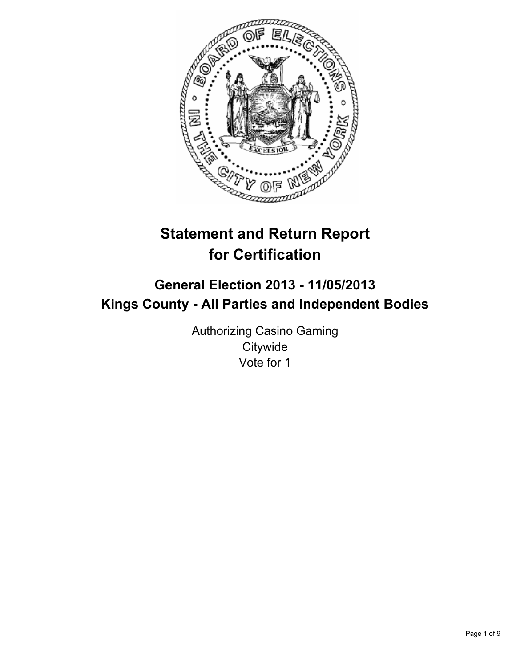

# **Statement and Return Report for Certification**

# **General Election 2013 - 11/05/2013 Kings County - All Parties and Independent Bodies**

Authorizing Casino Gaming **Citywide** Vote for 1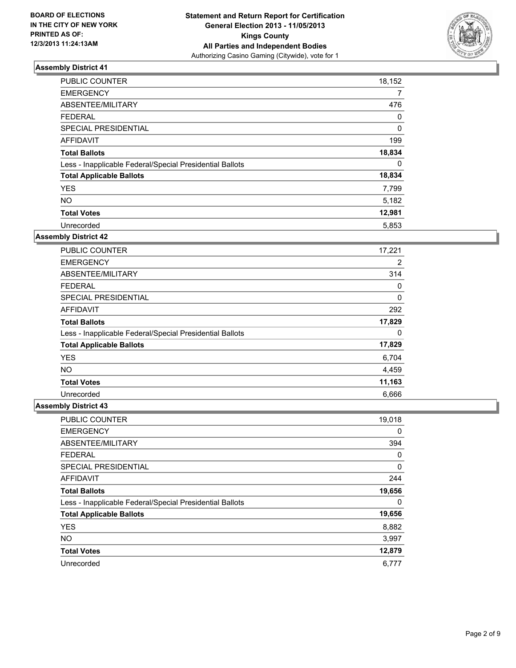

| <b>PUBLIC COUNTER</b>                                    | 18,152 |
|----------------------------------------------------------|--------|
| <b>EMERGENCY</b>                                         | 7      |
| ABSENTEE/MILITARY                                        | 476    |
| <b>FEDERAL</b>                                           | 0      |
| <b>SPECIAL PRESIDENTIAL</b>                              | 0      |
| <b>AFFIDAVIT</b>                                         | 199    |
| <b>Total Ballots</b>                                     | 18,834 |
| Less - Inapplicable Federal/Special Presidential Ballots | 0      |
| <b>Total Applicable Ballots</b>                          | 18,834 |
| <b>YES</b>                                               | 7,799  |
| <b>NO</b>                                                | 5,182  |
| <b>Total Votes</b>                                       | 12,981 |
| Unrecorded                                               | 5,853  |

### **Assembly District 42**

| <b>PUBLIC COUNTER</b>                                    | 17,221 |
|----------------------------------------------------------|--------|
| <b>EMERGENCY</b>                                         | 2      |
| ABSENTEE/MILITARY                                        | 314    |
| <b>FEDERAL</b>                                           | 0      |
| <b>SPECIAL PRESIDENTIAL</b>                              | 0      |
| AFFIDAVIT                                                | 292    |
| <b>Total Ballots</b>                                     | 17,829 |
| Less - Inapplicable Federal/Special Presidential Ballots | 0      |
| <b>Total Applicable Ballots</b>                          | 17,829 |
| <b>YES</b>                                               | 6,704  |
| <b>NO</b>                                                | 4,459  |
| <b>Total Votes</b>                                       | 11,163 |
| Unrecorded                                               | 6,666  |

| PUBLIC COUNTER                                           | 19,018 |
|----------------------------------------------------------|--------|
| <b>EMERGENCY</b>                                         | 0      |
| ABSENTEE/MILITARY                                        | 394    |
| <b>FEDERAL</b>                                           | 0      |
| SPECIAL PRESIDENTIAL                                     | 0      |
| <b>AFFIDAVIT</b>                                         | 244    |
| <b>Total Ballots</b>                                     | 19,656 |
| Less - Inapplicable Federal/Special Presidential Ballots | 0      |
| <b>Total Applicable Ballots</b>                          | 19,656 |
| <b>YES</b>                                               | 8,882  |
| <b>NO</b>                                                | 3,997  |
| <b>Total Votes</b>                                       | 12,879 |
| Unrecorded                                               | 6,777  |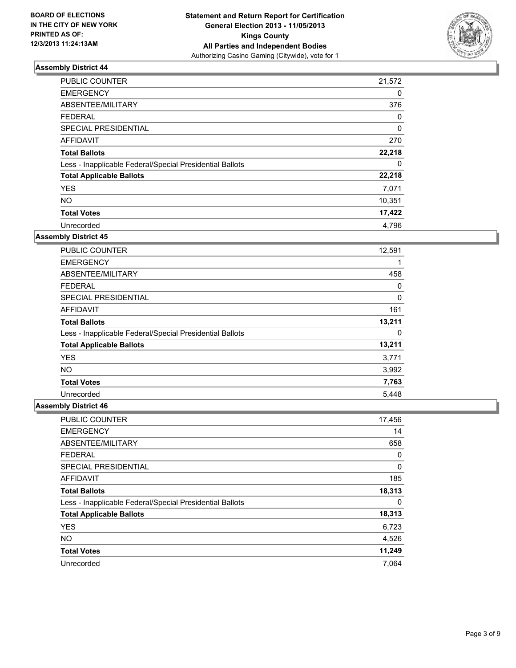

| <b>PUBLIC COUNTER</b>                                    | 21,572       |
|----------------------------------------------------------|--------------|
| <b>EMERGENCY</b>                                         | 0            |
| ABSENTEE/MILITARY                                        | 376          |
| <b>FEDERAL</b>                                           | 0            |
| SPECIAL PRESIDENTIAL                                     | $\mathbf{0}$ |
| <b>AFFIDAVIT</b>                                         | 270          |
| <b>Total Ballots</b>                                     | 22,218       |
| Less - Inapplicable Federal/Special Presidential Ballots | 0            |
| <b>Total Applicable Ballots</b>                          | 22,218       |
| <b>YES</b>                                               | 7,071        |
| <b>NO</b>                                                | 10,351       |
| <b>Total Votes</b>                                       | 17,422       |
| Unrecorded                                               | 4.796        |

### **Assembly District 45**

| <b>PUBLIC COUNTER</b>                                    | 12,591 |
|----------------------------------------------------------|--------|
| <b>EMERGENCY</b>                                         | 1      |
| ABSENTEE/MILITARY                                        | 458    |
| <b>FEDERAL</b>                                           | 0      |
| <b>SPECIAL PRESIDENTIAL</b>                              | 0      |
| AFFIDAVIT                                                | 161    |
| <b>Total Ballots</b>                                     | 13,211 |
| Less - Inapplicable Federal/Special Presidential Ballots | 0      |
| <b>Total Applicable Ballots</b>                          | 13,211 |
| <b>YES</b>                                               | 3,771  |
| <b>NO</b>                                                | 3,992  |
| <b>Total Votes</b>                                       | 7,763  |
| Unrecorded                                               | 5.448  |

| PUBLIC COUNTER                                           | 17,456 |
|----------------------------------------------------------|--------|
| <b>EMERGENCY</b>                                         | 14     |
| ABSENTEE/MILITARY                                        | 658    |
| <b>FEDERAL</b>                                           | 0      |
| SPECIAL PRESIDENTIAL                                     | 0      |
| <b>AFFIDAVIT</b>                                         | 185    |
| <b>Total Ballots</b>                                     | 18,313 |
| Less - Inapplicable Federal/Special Presidential Ballots | 0      |
| <b>Total Applicable Ballots</b>                          | 18,313 |
| <b>YES</b>                                               | 6,723  |
| <b>NO</b>                                                | 4,526  |
| <b>Total Votes</b>                                       | 11,249 |
| Unrecorded                                               | 7.064  |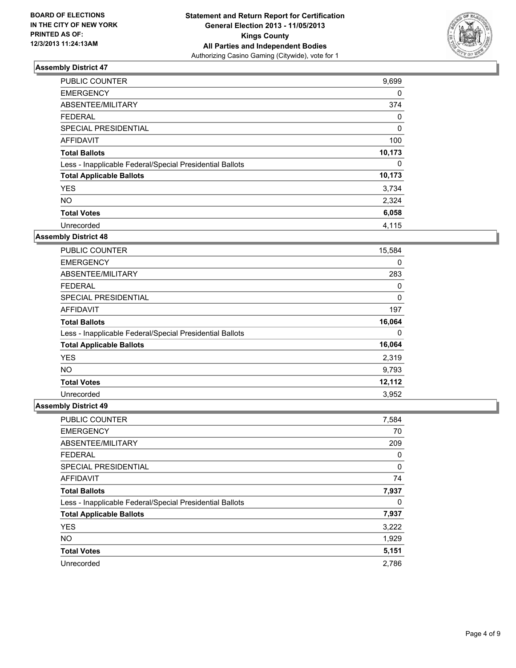

| <b>PUBLIC COUNTER</b>                                    | 9,699  |
|----------------------------------------------------------|--------|
| <b>EMERGENCY</b>                                         | 0      |
| ABSENTEE/MILITARY                                        | 374    |
| <b>FEDERAL</b>                                           | 0      |
| <b>SPECIAL PRESIDENTIAL</b>                              | 0      |
| <b>AFFIDAVIT</b>                                         | 100    |
| <b>Total Ballots</b>                                     | 10,173 |
| Less - Inapplicable Federal/Special Presidential Ballots | 0      |
| <b>Total Applicable Ballots</b>                          | 10,173 |
| <b>YES</b>                                               | 3,734  |
| <b>NO</b>                                                | 2,324  |
| <b>Total Votes</b>                                       | 6,058  |
| Unrecorded                                               | 4.115  |

### **Assembly District 48**

| <b>PUBLIC COUNTER</b>                                    | 15,584 |
|----------------------------------------------------------|--------|
| <b>EMERGENCY</b>                                         | 0      |
| ABSENTEE/MILITARY                                        | 283    |
| <b>FEDERAL</b>                                           | 0      |
| <b>SPECIAL PRESIDENTIAL</b>                              | 0      |
| AFFIDAVIT                                                | 197    |
| <b>Total Ballots</b>                                     | 16,064 |
| Less - Inapplicable Federal/Special Presidential Ballots | 0      |
| <b>Total Applicable Ballots</b>                          | 16,064 |
| <b>YES</b>                                               | 2,319  |
| <b>NO</b>                                                | 9,793  |
| <b>Total Votes</b>                                       | 12,112 |
| Unrecorded                                               | 3,952  |

| PUBLIC COUNTER                                           | 7,584 |
|----------------------------------------------------------|-------|
| <b>EMERGENCY</b>                                         | 70    |
| ABSENTEE/MILITARY                                        | 209   |
| <b>FEDERAL</b>                                           | 0     |
| SPECIAL PRESIDENTIAL                                     | 0     |
| <b>AFFIDAVIT</b>                                         | 74    |
| <b>Total Ballots</b>                                     | 7,937 |
| Less - Inapplicable Federal/Special Presidential Ballots | 0     |
| <b>Total Applicable Ballots</b>                          | 7,937 |
| <b>YES</b>                                               | 3,222 |
| <b>NO</b>                                                | 1,929 |
| <b>Total Votes</b>                                       | 5,151 |
| Unrecorded                                               | 2,786 |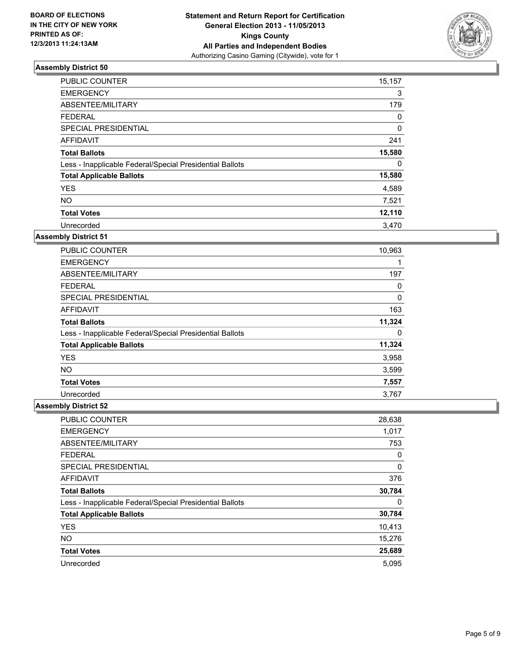

| <b>PUBLIC COUNTER</b>                                    | 15,157 |
|----------------------------------------------------------|--------|
| <b>EMERGENCY</b>                                         | 3      |
| ABSENTEE/MILITARY                                        | 179    |
| <b>FEDERAL</b>                                           | 0      |
| SPECIAL PRESIDENTIAL                                     | 0      |
| <b>AFFIDAVIT</b>                                         | 241    |
| <b>Total Ballots</b>                                     | 15,580 |
| Less - Inapplicable Federal/Special Presidential Ballots | 0      |
| <b>Total Applicable Ballots</b>                          | 15,580 |
| <b>YES</b>                                               | 4,589  |
| <b>NO</b>                                                | 7,521  |
| <b>Total Votes</b>                                       | 12,110 |
| Unrecorded                                               | 3,470  |

### **Assembly District 51**

| <b>PUBLIC COUNTER</b>                                    | 10,963 |
|----------------------------------------------------------|--------|
| <b>EMERGENCY</b>                                         |        |
| ABSENTEE/MILITARY                                        | 197    |
| <b>FEDERAL</b>                                           | 0      |
| <b>SPECIAL PRESIDENTIAL</b>                              | 0      |
| AFFIDAVIT                                                | 163    |
| <b>Total Ballots</b>                                     | 11,324 |
| Less - Inapplicable Federal/Special Presidential Ballots | 0      |
| <b>Total Applicable Ballots</b>                          | 11,324 |
| <b>YES</b>                                               | 3,958  |
| <b>NO</b>                                                | 3,599  |
| <b>Total Votes</b>                                       | 7,557  |
| Unrecorded                                               | 3,767  |

| PUBLIC COUNTER                                           | 28,638 |
|----------------------------------------------------------|--------|
| <b>EMERGENCY</b>                                         | 1,017  |
| ABSENTEE/MILITARY                                        | 753    |
| <b>FEDERAL</b>                                           | 0      |
| SPECIAL PRESIDENTIAL                                     | 0      |
| <b>AFFIDAVIT</b>                                         | 376    |
| <b>Total Ballots</b>                                     | 30,784 |
| Less - Inapplicable Federal/Special Presidential Ballots | 0      |
| <b>Total Applicable Ballots</b>                          | 30,784 |
| <b>YES</b>                                               | 10,413 |
| <b>NO</b>                                                | 15,276 |
| <b>Total Votes</b>                                       | 25,689 |
| Unrecorded                                               | 5,095  |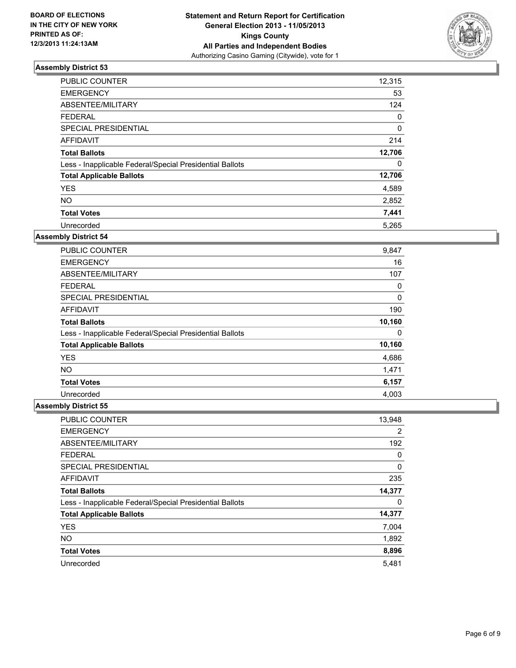

| <b>PUBLIC COUNTER</b>                                    | 12,315 |
|----------------------------------------------------------|--------|
| <b>EMERGENCY</b>                                         | 53     |
| ABSENTEE/MILITARY                                        | 124    |
| <b>FEDERAL</b>                                           | 0      |
| <b>SPECIAL PRESIDENTIAL</b>                              | 0      |
| <b>AFFIDAVIT</b>                                         | 214    |
| <b>Total Ballots</b>                                     | 12,706 |
| Less - Inapplicable Federal/Special Presidential Ballots | 0      |
| <b>Total Applicable Ballots</b>                          | 12,706 |
| <b>YES</b>                                               | 4,589  |
| <b>NO</b>                                                | 2,852  |
| <b>Total Votes</b>                                       | 7,441  |
| Unrecorded                                               | 5,265  |

### **Assembly District 54**

| <b>PUBLIC COUNTER</b>                                    | 9,847  |
|----------------------------------------------------------|--------|
| <b>EMERGENCY</b>                                         | 16     |
| ABSENTEE/MILITARY                                        | 107    |
| <b>FEDERAL</b>                                           | 0      |
| <b>SPECIAL PRESIDENTIAL</b>                              | 0      |
| AFFIDAVIT                                                | 190    |
| <b>Total Ballots</b>                                     | 10,160 |
| Less - Inapplicable Federal/Special Presidential Ballots | 0      |
| <b>Total Applicable Ballots</b>                          | 10,160 |
| <b>YES</b>                                               | 4,686  |
| <b>NO</b>                                                | 1,471  |
| <b>Total Votes</b>                                       | 6,157  |
| Unrecorded                                               | 4,003  |

| PUBLIC COUNTER                                           | 13,948         |
|----------------------------------------------------------|----------------|
| <b>EMERGENCY</b>                                         | $\overline{2}$ |
| ABSENTEE/MILITARY                                        | 192            |
| <b>FEDERAL</b>                                           | 0              |
| SPECIAL PRESIDENTIAL                                     | 0              |
| <b>AFFIDAVIT</b>                                         | 235            |
| <b>Total Ballots</b>                                     | 14,377         |
| Less - Inapplicable Federal/Special Presidential Ballots | 0              |
| <b>Total Applicable Ballots</b>                          | 14,377         |
| <b>YES</b>                                               | 7,004          |
| <b>NO</b>                                                | 1,892          |
| <b>Total Votes</b>                                       | 8,896          |
| Unrecorded                                               | 5,481          |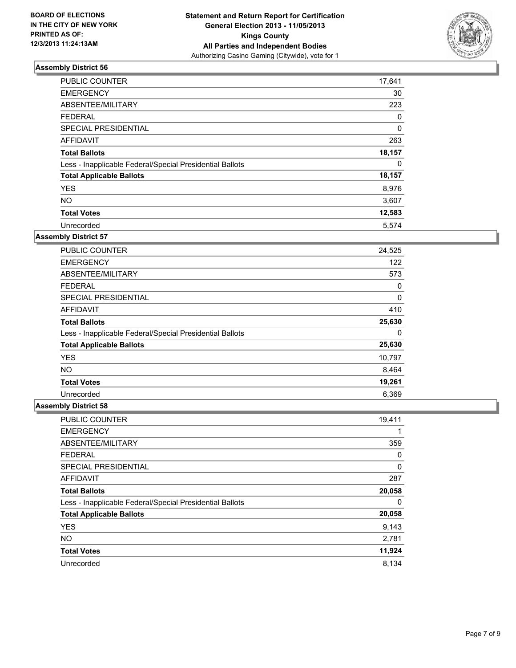

| <b>PUBLIC COUNTER</b>                                    | 17,641 |
|----------------------------------------------------------|--------|
| <b>EMERGENCY</b>                                         | 30     |
| ABSENTEE/MILITARY                                        | 223    |
| <b>FEDERAL</b>                                           | 0      |
| SPECIAL PRESIDENTIAL                                     | 0      |
| <b>AFFIDAVIT</b>                                         | 263    |
| <b>Total Ballots</b>                                     | 18,157 |
| Less - Inapplicable Federal/Special Presidential Ballots | 0      |
| <b>Total Applicable Ballots</b>                          | 18,157 |
| <b>YES</b>                                               | 8,976  |
| <b>NO</b>                                                | 3,607  |
| <b>Total Votes</b>                                       | 12,583 |
| Unrecorded                                               | 5.574  |

### **Assembly District 57**

| <b>PUBLIC COUNTER</b>                                    | 24,525 |
|----------------------------------------------------------|--------|
| <b>EMERGENCY</b>                                         | 122    |
| ABSENTEE/MILITARY                                        | 573    |
| <b>FEDERAL</b>                                           | 0      |
| <b>SPECIAL PRESIDENTIAL</b>                              | 0      |
| AFFIDAVIT                                                | 410    |
| <b>Total Ballots</b>                                     | 25,630 |
| Less - Inapplicable Federal/Special Presidential Ballots | 0      |
| <b>Total Applicable Ballots</b>                          | 25,630 |
| <b>YES</b>                                               | 10,797 |
| <b>NO</b>                                                | 8,464  |
| <b>Total Votes</b>                                       | 19,261 |
| Unrecorded                                               | 6,369  |

| <b>PUBLIC COUNTER</b>                                    | 19,411 |
|----------------------------------------------------------|--------|
| <b>EMERGENCY</b>                                         |        |
| ABSENTEE/MILITARY                                        | 359    |
| <b>FEDERAL</b>                                           | 0      |
| SPECIAL PRESIDENTIAL                                     | 0      |
| AFFIDAVIT                                                | 287    |
| <b>Total Ballots</b>                                     | 20,058 |
| Less - Inapplicable Federal/Special Presidential Ballots | 0      |
| <b>Total Applicable Ballots</b>                          | 20,058 |
| <b>YES</b>                                               | 9,143  |
| <b>NO</b>                                                | 2,781  |
| <b>Total Votes</b>                                       | 11,924 |
| Unrecorded                                               | 8,134  |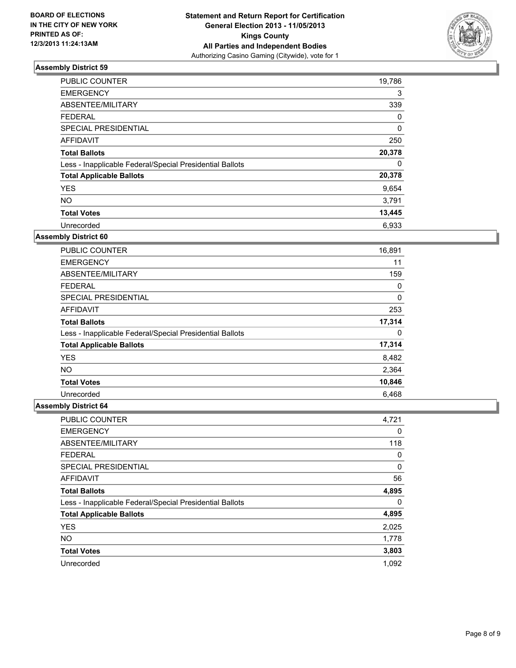

| <b>PUBLIC COUNTER</b>                                    | 19,786 |
|----------------------------------------------------------|--------|
| <b>EMERGENCY</b>                                         | 3      |
| ABSENTEE/MILITARY                                        | 339    |
| <b>FEDERAL</b>                                           | 0      |
| SPECIAL PRESIDENTIAL                                     | 0      |
| <b>AFFIDAVIT</b>                                         | 250    |
| <b>Total Ballots</b>                                     | 20,378 |
| Less - Inapplicable Federal/Special Presidential Ballots | 0      |
| <b>Total Applicable Ballots</b>                          | 20,378 |
| <b>YES</b>                                               | 9,654  |
| <b>NO</b>                                                | 3,791  |
| <b>Total Votes</b>                                       | 13,445 |
| Unrecorded                                               | 6.933  |

### **Assembly District 60**

| <b>PUBLIC COUNTER</b>                                    | 16,891 |
|----------------------------------------------------------|--------|
| <b>EMERGENCY</b>                                         | 11     |
| ABSENTEE/MILITARY                                        | 159    |
| <b>FEDERAL</b>                                           | 0      |
| <b>SPECIAL PRESIDENTIAL</b>                              | 0      |
| AFFIDAVIT                                                | 253    |
| <b>Total Ballots</b>                                     | 17,314 |
| Less - Inapplicable Federal/Special Presidential Ballots | 0      |
| <b>Total Applicable Ballots</b>                          | 17,314 |
| <b>YES</b>                                               | 8,482  |
| <b>NO</b>                                                | 2,364  |
| <b>Total Votes</b>                                       | 10,846 |
| Unrecorded                                               | 6,468  |

| <b>PUBLIC COUNTER</b>                                    | 4,721 |
|----------------------------------------------------------|-------|
| <b>EMERGENCY</b>                                         | 0     |
| ABSENTEE/MILITARY                                        | 118   |
| <b>FEDERAL</b>                                           | 0     |
| SPECIAL PRESIDENTIAL                                     | 0     |
| <b>AFFIDAVIT</b>                                         | 56    |
| <b>Total Ballots</b>                                     | 4,895 |
| Less - Inapplicable Federal/Special Presidential Ballots | 0     |
| <b>Total Applicable Ballots</b>                          | 4,895 |
| <b>YES</b>                                               | 2,025 |
| <b>NO</b>                                                | 1,778 |
| <b>Total Votes</b>                                       | 3,803 |
| Unrecorded                                               | 1.092 |